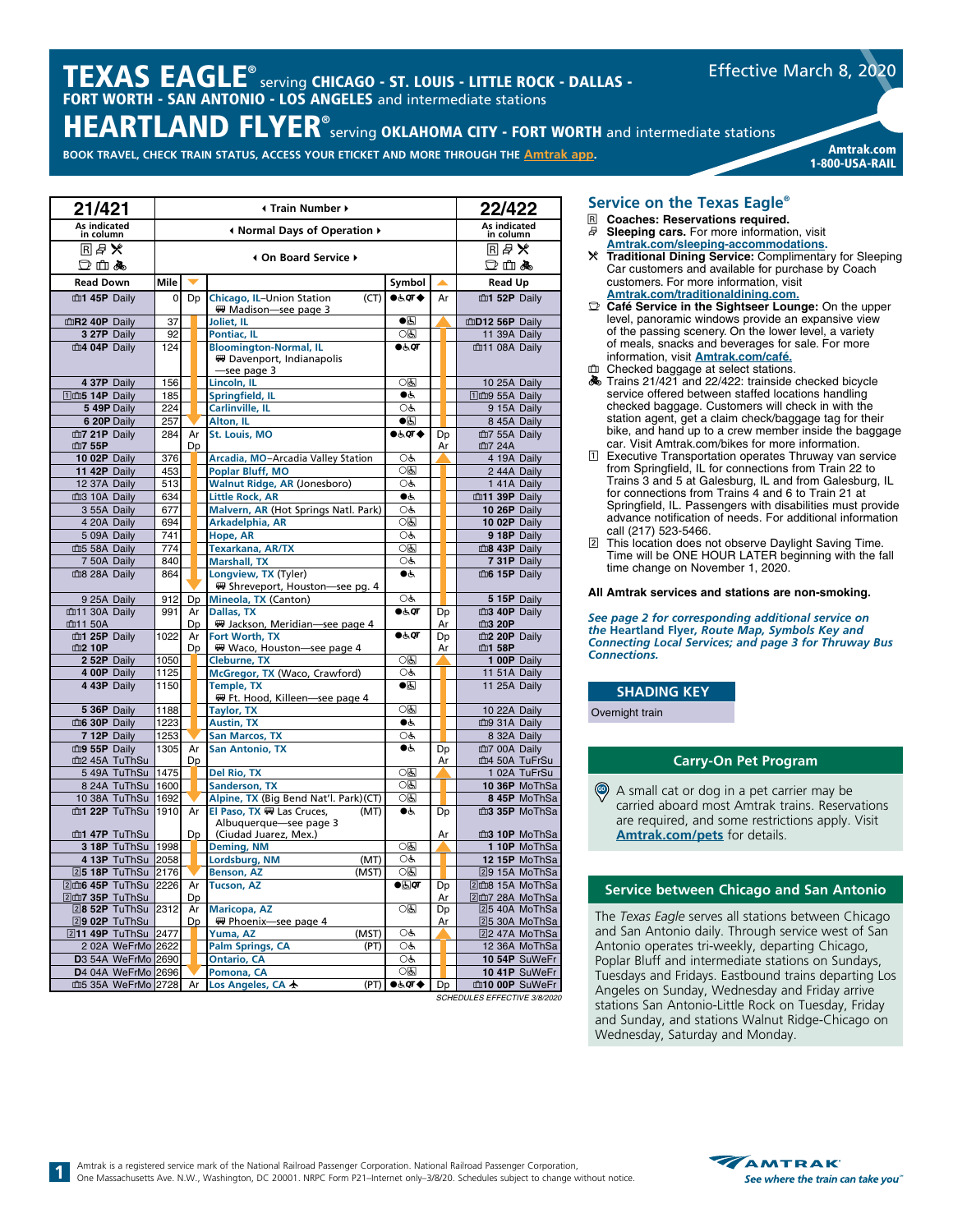# $\boldsymbol{\mathsf{TEXAS}}\ \textsf{EAGLE}^\circ$  serving CHICAGO - ST. LOUIS - LITTLE ROCK - DALLAS -FORT WORTH - SAN ANTONIO - LOS ANGELES and intermediate stations

**BOOK TRAVEL, CHECK TRAIN STATUS, ACCESS YOUR ETICKET AND MORE THROUGH THE [Amtrak app](https://www.amtrak.com/mobile). Amtrak.com** 

1-800-USA-RAIL

Effective March 8, 2020

| As indicated<br>in column<br>As indicated<br>in column<br>Infinity Mormal Days of Operation ♦<br>■■■※<br>RA×<br>4 On Board Service ▶<br>口山ふ<br>口血晶<br>Symbol<br><b>Read Down</b><br>Mile<br><b>Read Up</b><br>▲<br>m1 45P Daily<br>Dp<br>Chicago, IL-Union Station<br>0.59T<br>m1 52P Daily<br>$\overline{0}$<br>(CT)<br>Ar<br>₩ Madison-see page 3<br>$\bullet$<br>mR <sub>2</sub> 40P Daily<br>37<br>mD12 56P Daily<br>Joliet, IL<br>0国<br>3 27P Daily<br>92<br>Pontiac, IL<br>11 39A Daily<br>m4 04P Daily<br>124<br><b>Bloomington-Normal, IL</b><br>66, qr<br>血11 08A Daily<br>界 Davenport, Indianapolis<br>-see page 3<br>0国<br>10 25A Daily<br>4 37P Daily<br>156<br>Lincoln, IL<br>14P Daily<br>185<br>Springfield, IL<br>●ط<br>11 m9 55A Daily<br>OĠ<br>5 49P Daily<br>224<br>Carlinville, IL<br>9 15A Daily<br>$\bullet$ g<br>6 20P Daily<br>257<br>Alton, IL<br>8 45A Daily<br><b>St. Louis, MO</b><br>$\bullet$ & $\sigma$<br>血7 21P Daily<br>284<br>Ar<br>血7 55A Daily<br>Dp<br>血7 55P<br>Dp<br>Ar<br>血7 24A<br>376<br>Arcadia, MO-Arcadia Valley Station<br>10 02P Daily<br>OĠ<br>4 19A Daily<br><b>Poplar Bluff, MO</b><br>0因<br>2 44A Daily<br>11 42P Daily<br>453<br><b>Walnut Ridge, AR (Jonesboro)</b><br>12 37A Daily<br>513<br>OĠ<br>1 41A Daily<br>m3 10A Daily<br>634<br><b>Little Rock, AR</b><br>●ض<br>m11 39P Daily<br>Malvern, AR (Hot Springs Natl. Park)<br>3 55A Daily<br>677<br>OĠ<br>10 26P Daily<br>ाड<br>4 20A Daily<br>694<br>Arkadelphia, AR<br>10 02P Daily<br>5 09A Daily<br>741<br>OĠ<br>9 18P Daily<br>Hope, AR<br>○६<br>血5 58A Daily<br>774<br><b>Texarkana, AR/TX</b><br>m8 43P Daily<br>OĠ<br>7 50A Daily<br>840<br><b>Marshall, TX</b><br>7 31P Daily<br>Longview, TX (Tyler)<br>血8 28A Daily<br>864<br>$\bullet$<br>m6 15P Daily<br>₩ Shreveport, Houston-see pg. 4<br>9 25A Daily<br>912<br>Dp<br>OĠ<br>5 15P Daily<br>Mineola, TX (Canton)<br><b>Dallas, TX</b><br>●க்⊄<br>血11 30A Daily<br>991<br>Dp<br>m3 40P Daily<br>Ar<br>血11 50A<br>Dp<br>界 Jackson, Meridian-see page 4<br>血3 20P<br>Ar<br>1022<br>m1 25P Daily<br>Ar<br>Fort Worth, TX<br>●ऊं0ा<br>Dp<br>m2 20P Daily<br>血2 10P<br>Waco, Houston-see page 4<br>血1 58P<br>Dp<br>Ar<br>0因<br>1050<br>2 52P Daily<br><b>Cleburne, TX</b><br>1 00P Daily<br>McGregor, TX (Waco, Crawford)<br>1125<br>OĠ<br>4 00P Daily<br>11 51A Daily<br>4 43P Daily<br>1150<br><b>Temple, TX</b><br>$\bullet$ g<br>11 25A Daily<br>₩ Ft. Hood, Killeen-see page 4<br>ाड<br>5 36P Daily<br>1188<br><b>Taylor, TX</b><br>10 22A Daily<br>$\bullet$<br>m6 30P Daily<br>1223<br><b>Austin, TX</b><br>mg 31A Daily<br>OĠ<br>7 12P Daily<br>1253<br><b>San Marcos, TX</b><br>8 32A Daily<br><b>San Antonio, TX</b><br>$\bullet$<br>m9 55P Daily<br>1305<br>Ar<br>Dp<br>血7 00A Daily<br>m2 45A TuThSu<br>m4 50A TuFrSu<br>Dp<br>Ar<br>$\overline{OB}$<br>1475<br>Del Rio, TX<br>5 49A TuThSu<br>1 02A TuFrSu<br>05<br>8 24A TuThSu<br><b>Sanderson, TX</b><br>1600<br>10 36P MoThSa<br>Alpine, TX (Big Bend Nat'l. Park)(CT)<br>10 38A TuThSu<br>1692<br>0国<br>8 45P MoThSa<br>m1 22P TuThSu<br>1910<br>El Paso, TX W Las Cruces,<br>$\bullet$<br>m3 35P MoThSa<br>Ar<br>(MT)<br>D <sub>D</sub><br>Albuquerque-see page 3<br>m1 47P TuThSu<br>Dp<br>(Ciudad Juarez, Mex.)<br>Ar<br>m3 10P MoThSa<br>ाड<br>3 18P TuThSu<br>1998<br><b>Deming, NM</b><br>1 10P MoThSa<br>(MT)<br>OĠ<br>4 13P TuThSu<br>2058<br>Lordsburg, NM<br>12 15P MoThSa<br>0因<br>25 18P TuThSu<br>2176<br>Benson, AZ<br>(MST)<br>29 15A MoThSa<br>2dm6 45P TuThSu<br>2226<br>Ar<br><b>Tucson, AZ</b><br>$\bullet$ & $\sigma$<br>2m8 15A MoThSa<br>Dp<br>2dm7 35P TuThSu<br>Dp<br>Ar<br>2dm7 28A MoThSa<br>ाड<br>2312<br><b>Maricopa, AZ</b><br>28 52P TuThSu<br>Dp<br>25 40A MoThSa<br>Ar<br>29 02P TuThSu<br>Dp<br>₩ Phoenix-see page 4<br>Ar<br>25 30A MoThSa<br>OĠ<br>2477<br>211 49P TuThSu<br>Yuma, AZ<br>(MST)<br>22 47A MoThSa<br>OĠ<br>2 02A WeFrMo 2622<br><b>Palm Springs, CA</b><br>12 36A MoThSa<br>(PT)<br>OĠ<br>D3 54A WeFrMo 2690<br><b>Ontario, CA</b><br>10 54P SuWeFr<br>D4 04A WeFrMo 2696<br>Pomona, CA<br>05<br>10 41P SuWeFr<br>m5 35A WeFrMo 2728<br>(PT)<br>$\bullet$ & $\sigma$ r $\bullet$<br>m10 00P SuWeFr<br>Los Angeles, CA +<br>Dp<br>Ar | 21/421 |  | 22/422 |  |  |
|---------------------------------------------------------------------------------------------------------------------------------------------------------------------------------------------------------------------------------------------------------------------------------------------------------------------------------------------------------------------------------------------------------------------------------------------------------------------------------------------------------------------------------------------------------------------------------------------------------------------------------------------------------------------------------------------------------------------------------------------------------------------------------------------------------------------------------------------------------------------------------------------------------------------------------------------------------------------------------------------------------------------------------------------------------------------------------------------------------------------------------------------------------------------------------------------------------------------------------------------------------------------------------------------------------------------------------------------------------------------------------------------------------------------------------------------------------------------------------------------------------------------------------------------------------------------------------------------------------------------------------------------------------------------------------------------------------------------------------------------------------------------------------------------------------------------------------------------------------------------------------------------------------------------------------------------------------------------------------------------------------------------------------------------------------------------------------------------------------------------------------------------------------------------------------------------------------------------------------------------------------------------------------------------------------------------------------------------------------------------------------------------------------------------------------------------------------------------------------------------------------------------------------------------------------------------------------------------------------------------------------------------------------------------------------------------------------------------------------------------------------------------------------------------------------------------------------------------------------------------------------------------------------------------------------------------------------------------------------------------------------------------------------------------------------------------------------------------------------------------------------------------------------------------------------------------------------------------------------------------------------------------------------------------------------------------------------------------------------------------------------------------------------------------------------------------------------------------------------------------------------------------------------------------------------------------------------------------------------------------------------------------------------------------------------------------------------------------------------------------------------------------------------------------------------------------------------------------------------------------------------------------------------------------------------------------------------------------------------------------------------------------------------------------------------------------------------------------------------------------------------------------------------------------------------------------------------------------------|--------|--|--------|--|--|
|                                                                                                                                                                                                                                                                                                                                                                                                                                                                                                                                                                                                                                                                                                                                                                                                                                                                                                                                                                                                                                                                                                                                                                                                                                                                                                                                                                                                                                                                                                                                                                                                                                                                                                                                                                                                                                                                                                                                                                                                                                                                                                                                                                                                                                                                                                                                                                                                                                                                                                                                                                                                                                                                                                                                                                                                                                                                                                                                                                                                                                                                                                                                                                                                                                                                                                                                                                                                                                                                                                                                                                                                                                                                                                                                                                                                                                                                                                                                                                                                                                                                                                                                                                                                                           |        |  |        |  |  |
|                                                                                                                                                                                                                                                                                                                                                                                                                                                                                                                                                                                                                                                                                                                                                                                                                                                                                                                                                                                                                                                                                                                                                                                                                                                                                                                                                                                                                                                                                                                                                                                                                                                                                                                                                                                                                                                                                                                                                                                                                                                                                                                                                                                                                                                                                                                                                                                                                                                                                                                                                                                                                                                                                                                                                                                                                                                                                                                                                                                                                                                                                                                                                                                                                                                                                                                                                                                                                                                                                                                                                                                                                                                                                                                                                                                                                                                                                                                                                                                                                                                                                                                                                                                                                           |        |  |        |  |  |
|                                                                                                                                                                                                                                                                                                                                                                                                                                                                                                                                                                                                                                                                                                                                                                                                                                                                                                                                                                                                                                                                                                                                                                                                                                                                                                                                                                                                                                                                                                                                                                                                                                                                                                                                                                                                                                                                                                                                                                                                                                                                                                                                                                                                                                                                                                                                                                                                                                                                                                                                                                                                                                                                                                                                                                                                                                                                                                                                                                                                                                                                                                                                                                                                                                                                                                                                                                                                                                                                                                                                                                                                                                                                                                                                                                                                                                                                                                                                                                                                                                                                                                                                                                                                                           |        |  |        |  |  |
|                                                                                                                                                                                                                                                                                                                                                                                                                                                                                                                                                                                                                                                                                                                                                                                                                                                                                                                                                                                                                                                                                                                                                                                                                                                                                                                                                                                                                                                                                                                                                                                                                                                                                                                                                                                                                                                                                                                                                                                                                                                                                                                                                                                                                                                                                                                                                                                                                                                                                                                                                                                                                                                                                                                                                                                                                                                                                                                                                                                                                                                                                                                                                                                                                                                                                                                                                                                                                                                                                                                                                                                                                                                                                                                                                                                                                                                                                                                                                                                                                                                                                                                                                                                                                           |        |  |        |  |  |
|                                                                                                                                                                                                                                                                                                                                                                                                                                                                                                                                                                                                                                                                                                                                                                                                                                                                                                                                                                                                                                                                                                                                                                                                                                                                                                                                                                                                                                                                                                                                                                                                                                                                                                                                                                                                                                                                                                                                                                                                                                                                                                                                                                                                                                                                                                                                                                                                                                                                                                                                                                                                                                                                                                                                                                                                                                                                                                                                                                                                                                                                                                                                                                                                                                                                                                                                                                                                                                                                                                                                                                                                                                                                                                                                                                                                                                                                                                                                                                                                                                                                                                                                                                                                                           |        |  |        |  |  |
|                                                                                                                                                                                                                                                                                                                                                                                                                                                                                                                                                                                                                                                                                                                                                                                                                                                                                                                                                                                                                                                                                                                                                                                                                                                                                                                                                                                                                                                                                                                                                                                                                                                                                                                                                                                                                                                                                                                                                                                                                                                                                                                                                                                                                                                                                                                                                                                                                                                                                                                                                                                                                                                                                                                                                                                                                                                                                                                                                                                                                                                                                                                                                                                                                                                                                                                                                                                                                                                                                                                                                                                                                                                                                                                                                                                                                                                                                                                                                                                                                                                                                                                                                                                                                           |        |  |        |  |  |
|                                                                                                                                                                                                                                                                                                                                                                                                                                                                                                                                                                                                                                                                                                                                                                                                                                                                                                                                                                                                                                                                                                                                                                                                                                                                                                                                                                                                                                                                                                                                                                                                                                                                                                                                                                                                                                                                                                                                                                                                                                                                                                                                                                                                                                                                                                                                                                                                                                                                                                                                                                                                                                                                                                                                                                                                                                                                                                                                                                                                                                                                                                                                                                                                                                                                                                                                                                                                                                                                                                                                                                                                                                                                                                                                                                                                                                                                                                                                                                                                                                                                                                                                                                                                                           |        |  |        |  |  |
|                                                                                                                                                                                                                                                                                                                                                                                                                                                                                                                                                                                                                                                                                                                                                                                                                                                                                                                                                                                                                                                                                                                                                                                                                                                                                                                                                                                                                                                                                                                                                                                                                                                                                                                                                                                                                                                                                                                                                                                                                                                                                                                                                                                                                                                                                                                                                                                                                                                                                                                                                                                                                                                                                                                                                                                                                                                                                                                                                                                                                                                                                                                                                                                                                                                                                                                                                                                                                                                                                                                                                                                                                                                                                                                                                                                                                                                                                                                                                                                                                                                                                                                                                                                                                           |        |  |        |  |  |
|                                                                                                                                                                                                                                                                                                                                                                                                                                                                                                                                                                                                                                                                                                                                                                                                                                                                                                                                                                                                                                                                                                                                                                                                                                                                                                                                                                                                                                                                                                                                                                                                                                                                                                                                                                                                                                                                                                                                                                                                                                                                                                                                                                                                                                                                                                                                                                                                                                                                                                                                                                                                                                                                                                                                                                                                                                                                                                                                                                                                                                                                                                                                                                                                                                                                                                                                                                                                                                                                                                                                                                                                                                                                                                                                                                                                                                                                                                                                                                                                                                                                                                                                                                                                                           |        |  |        |  |  |
|                                                                                                                                                                                                                                                                                                                                                                                                                                                                                                                                                                                                                                                                                                                                                                                                                                                                                                                                                                                                                                                                                                                                                                                                                                                                                                                                                                                                                                                                                                                                                                                                                                                                                                                                                                                                                                                                                                                                                                                                                                                                                                                                                                                                                                                                                                                                                                                                                                                                                                                                                                                                                                                                                                                                                                                                                                                                                                                                                                                                                                                                                                                                                                                                                                                                                                                                                                                                                                                                                                                                                                                                                                                                                                                                                                                                                                                                                                                                                                                                                                                                                                                                                                                                                           |        |  |        |  |  |
|                                                                                                                                                                                                                                                                                                                                                                                                                                                                                                                                                                                                                                                                                                                                                                                                                                                                                                                                                                                                                                                                                                                                                                                                                                                                                                                                                                                                                                                                                                                                                                                                                                                                                                                                                                                                                                                                                                                                                                                                                                                                                                                                                                                                                                                                                                                                                                                                                                                                                                                                                                                                                                                                                                                                                                                                                                                                                                                                                                                                                                                                                                                                                                                                                                                                                                                                                                                                                                                                                                                                                                                                                                                                                                                                                                                                                                                                                                                                                                                                                                                                                                                                                                                                                           |        |  |        |  |  |
|                                                                                                                                                                                                                                                                                                                                                                                                                                                                                                                                                                                                                                                                                                                                                                                                                                                                                                                                                                                                                                                                                                                                                                                                                                                                                                                                                                                                                                                                                                                                                                                                                                                                                                                                                                                                                                                                                                                                                                                                                                                                                                                                                                                                                                                                                                                                                                                                                                                                                                                                                                                                                                                                                                                                                                                                                                                                                                                                                                                                                                                                                                                                                                                                                                                                                                                                                                                                                                                                                                                                                                                                                                                                                                                                                                                                                                                                                                                                                                                                                                                                                                                                                                                                                           |        |  |        |  |  |
|                                                                                                                                                                                                                                                                                                                                                                                                                                                                                                                                                                                                                                                                                                                                                                                                                                                                                                                                                                                                                                                                                                                                                                                                                                                                                                                                                                                                                                                                                                                                                                                                                                                                                                                                                                                                                                                                                                                                                                                                                                                                                                                                                                                                                                                                                                                                                                                                                                                                                                                                                                                                                                                                                                                                                                                                                                                                                                                                                                                                                                                                                                                                                                                                                                                                                                                                                                                                                                                                                                                                                                                                                                                                                                                                                                                                                                                                                                                                                                                                                                                                                                                                                                                                                           |        |  |        |  |  |
|                                                                                                                                                                                                                                                                                                                                                                                                                                                                                                                                                                                                                                                                                                                                                                                                                                                                                                                                                                                                                                                                                                                                                                                                                                                                                                                                                                                                                                                                                                                                                                                                                                                                                                                                                                                                                                                                                                                                                                                                                                                                                                                                                                                                                                                                                                                                                                                                                                                                                                                                                                                                                                                                                                                                                                                                                                                                                                                                                                                                                                                                                                                                                                                                                                                                                                                                                                                                                                                                                                                                                                                                                                                                                                                                                                                                                                                                                                                                                                                                                                                                                                                                                                                                                           |        |  |        |  |  |
|                                                                                                                                                                                                                                                                                                                                                                                                                                                                                                                                                                                                                                                                                                                                                                                                                                                                                                                                                                                                                                                                                                                                                                                                                                                                                                                                                                                                                                                                                                                                                                                                                                                                                                                                                                                                                                                                                                                                                                                                                                                                                                                                                                                                                                                                                                                                                                                                                                                                                                                                                                                                                                                                                                                                                                                                                                                                                                                                                                                                                                                                                                                                                                                                                                                                                                                                                                                                                                                                                                                                                                                                                                                                                                                                                                                                                                                                                                                                                                                                                                                                                                                                                                                                                           |        |  |        |  |  |
|                                                                                                                                                                                                                                                                                                                                                                                                                                                                                                                                                                                                                                                                                                                                                                                                                                                                                                                                                                                                                                                                                                                                                                                                                                                                                                                                                                                                                                                                                                                                                                                                                                                                                                                                                                                                                                                                                                                                                                                                                                                                                                                                                                                                                                                                                                                                                                                                                                                                                                                                                                                                                                                                                                                                                                                                                                                                                                                                                                                                                                                                                                                                                                                                                                                                                                                                                                                                                                                                                                                                                                                                                                                                                                                                                                                                                                                                                                                                                                                                                                                                                                                                                                                                                           |        |  |        |  |  |
|                                                                                                                                                                                                                                                                                                                                                                                                                                                                                                                                                                                                                                                                                                                                                                                                                                                                                                                                                                                                                                                                                                                                                                                                                                                                                                                                                                                                                                                                                                                                                                                                                                                                                                                                                                                                                                                                                                                                                                                                                                                                                                                                                                                                                                                                                                                                                                                                                                                                                                                                                                                                                                                                                                                                                                                                                                                                                                                                                                                                                                                                                                                                                                                                                                                                                                                                                                                                                                                                                                                                                                                                                                                                                                                                                                                                                                                                                                                                                                                                                                                                                                                                                                                                                           |        |  |        |  |  |
|                                                                                                                                                                                                                                                                                                                                                                                                                                                                                                                                                                                                                                                                                                                                                                                                                                                                                                                                                                                                                                                                                                                                                                                                                                                                                                                                                                                                                                                                                                                                                                                                                                                                                                                                                                                                                                                                                                                                                                                                                                                                                                                                                                                                                                                                                                                                                                                                                                                                                                                                                                                                                                                                                                                                                                                                                                                                                                                                                                                                                                                                                                                                                                                                                                                                                                                                                                                                                                                                                                                                                                                                                                                                                                                                                                                                                                                                                                                                                                                                                                                                                                                                                                                                                           |        |  |        |  |  |
|                                                                                                                                                                                                                                                                                                                                                                                                                                                                                                                                                                                                                                                                                                                                                                                                                                                                                                                                                                                                                                                                                                                                                                                                                                                                                                                                                                                                                                                                                                                                                                                                                                                                                                                                                                                                                                                                                                                                                                                                                                                                                                                                                                                                                                                                                                                                                                                                                                                                                                                                                                                                                                                                                                                                                                                                                                                                                                                                                                                                                                                                                                                                                                                                                                                                                                                                                                                                                                                                                                                                                                                                                                                                                                                                                                                                                                                                                                                                                                                                                                                                                                                                                                                                                           |        |  |        |  |  |
|                                                                                                                                                                                                                                                                                                                                                                                                                                                                                                                                                                                                                                                                                                                                                                                                                                                                                                                                                                                                                                                                                                                                                                                                                                                                                                                                                                                                                                                                                                                                                                                                                                                                                                                                                                                                                                                                                                                                                                                                                                                                                                                                                                                                                                                                                                                                                                                                                                                                                                                                                                                                                                                                                                                                                                                                                                                                                                                                                                                                                                                                                                                                                                                                                                                                                                                                                                                                                                                                                                                                                                                                                                                                                                                                                                                                                                                                                                                                                                                                                                                                                                                                                                                                                           |        |  |        |  |  |
|                                                                                                                                                                                                                                                                                                                                                                                                                                                                                                                                                                                                                                                                                                                                                                                                                                                                                                                                                                                                                                                                                                                                                                                                                                                                                                                                                                                                                                                                                                                                                                                                                                                                                                                                                                                                                                                                                                                                                                                                                                                                                                                                                                                                                                                                                                                                                                                                                                                                                                                                                                                                                                                                                                                                                                                                                                                                                                                                                                                                                                                                                                                                                                                                                                                                                                                                                                                                                                                                                                                                                                                                                                                                                                                                                                                                                                                                                                                                                                                                                                                                                                                                                                                                                           |        |  |        |  |  |
|                                                                                                                                                                                                                                                                                                                                                                                                                                                                                                                                                                                                                                                                                                                                                                                                                                                                                                                                                                                                                                                                                                                                                                                                                                                                                                                                                                                                                                                                                                                                                                                                                                                                                                                                                                                                                                                                                                                                                                                                                                                                                                                                                                                                                                                                                                                                                                                                                                                                                                                                                                                                                                                                                                                                                                                                                                                                                                                                                                                                                                                                                                                                                                                                                                                                                                                                                                                                                                                                                                                                                                                                                                                                                                                                                                                                                                                                                                                                                                                                                                                                                                                                                                                                                           |        |  |        |  |  |
|                                                                                                                                                                                                                                                                                                                                                                                                                                                                                                                                                                                                                                                                                                                                                                                                                                                                                                                                                                                                                                                                                                                                                                                                                                                                                                                                                                                                                                                                                                                                                                                                                                                                                                                                                                                                                                                                                                                                                                                                                                                                                                                                                                                                                                                                                                                                                                                                                                                                                                                                                                                                                                                                                                                                                                                                                                                                                                                                                                                                                                                                                                                                                                                                                                                                                                                                                                                                                                                                                                                                                                                                                                                                                                                                                                                                                                                                                                                                                                                                                                                                                                                                                                                                                           |        |  |        |  |  |
|                                                                                                                                                                                                                                                                                                                                                                                                                                                                                                                                                                                                                                                                                                                                                                                                                                                                                                                                                                                                                                                                                                                                                                                                                                                                                                                                                                                                                                                                                                                                                                                                                                                                                                                                                                                                                                                                                                                                                                                                                                                                                                                                                                                                                                                                                                                                                                                                                                                                                                                                                                                                                                                                                                                                                                                                                                                                                                                                                                                                                                                                                                                                                                                                                                                                                                                                                                                                                                                                                                                                                                                                                                                                                                                                                                                                                                                                                                                                                                                                                                                                                                                                                                                                                           |        |  |        |  |  |
|                                                                                                                                                                                                                                                                                                                                                                                                                                                                                                                                                                                                                                                                                                                                                                                                                                                                                                                                                                                                                                                                                                                                                                                                                                                                                                                                                                                                                                                                                                                                                                                                                                                                                                                                                                                                                                                                                                                                                                                                                                                                                                                                                                                                                                                                                                                                                                                                                                                                                                                                                                                                                                                                                                                                                                                                                                                                                                                                                                                                                                                                                                                                                                                                                                                                                                                                                                                                                                                                                                                                                                                                                                                                                                                                                                                                                                                                                                                                                                                                                                                                                                                                                                                                                           |        |  |        |  |  |
|                                                                                                                                                                                                                                                                                                                                                                                                                                                                                                                                                                                                                                                                                                                                                                                                                                                                                                                                                                                                                                                                                                                                                                                                                                                                                                                                                                                                                                                                                                                                                                                                                                                                                                                                                                                                                                                                                                                                                                                                                                                                                                                                                                                                                                                                                                                                                                                                                                                                                                                                                                                                                                                                                                                                                                                                                                                                                                                                                                                                                                                                                                                                                                                                                                                                                                                                                                                                                                                                                                                                                                                                                                                                                                                                                                                                                                                                                                                                                                                                                                                                                                                                                                                                                           |        |  |        |  |  |
|                                                                                                                                                                                                                                                                                                                                                                                                                                                                                                                                                                                                                                                                                                                                                                                                                                                                                                                                                                                                                                                                                                                                                                                                                                                                                                                                                                                                                                                                                                                                                                                                                                                                                                                                                                                                                                                                                                                                                                                                                                                                                                                                                                                                                                                                                                                                                                                                                                                                                                                                                                                                                                                                                                                                                                                                                                                                                                                                                                                                                                                                                                                                                                                                                                                                                                                                                                                                                                                                                                                                                                                                                                                                                                                                                                                                                                                                                                                                                                                                                                                                                                                                                                                                                           |        |  |        |  |  |
|                                                                                                                                                                                                                                                                                                                                                                                                                                                                                                                                                                                                                                                                                                                                                                                                                                                                                                                                                                                                                                                                                                                                                                                                                                                                                                                                                                                                                                                                                                                                                                                                                                                                                                                                                                                                                                                                                                                                                                                                                                                                                                                                                                                                                                                                                                                                                                                                                                                                                                                                                                                                                                                                                                                                                                                                                                                                                                                                                                                                                                                                                                                                                                                                                                                                                                                                                                                                                                                                                                                                                                                                                                                                                                                                                                                                                                                                                                                                                                                                                                                                                                                                                                                                                           |        |  |        |  |  |
|                                                                                                                                                                                                                                                                                                                                                                                                                                                                                                                                                                                                                                                                                                                                                                                                                                                                                                                                                                                                                                                                                                                                                                                                                                                                                                                                                                                                                                                                                                                                                                                                                                                                                                                                                                                                                                                                                                                                                                                                                                                                                                                                                                                                                                                                                                                                                                                                                                                                                                                                                                                                                                                                                                                                                                                                                                                                                                                                                                                                                                                                                                                                                                                                                                                                                                                                                                                                                                                                                                                                                                                                                                                                                                                                                                                                                                                                                                                                                                                                                                                                                                                                                                                                                           |        |  |        |  |  |
|                                                                                                                                                                                                                                                                                                                                                                                                                                                                                                                                                                                                                                                                                                                                                                                                                                                                                                                                                                                                                                                                                                                                                                                                                                                                                                                                                                                                                                                                                                                                                                                                                                                                                                                                                                                                                                                                                                                                                                                                                                                                                                                                                                                                                                                                                                                                                                                                                                                                                                                                                                                                                                                                                                                                                                                                                                                                                                                                                                                                                                                                                                                                                                                                                                                                                                                                                                                                                                                                                                                                                                                                                                                                                                                                                                                                                                                                                                                                                                                                                                                                                                                                                                                                                           |        |  |        |  |  |
|                                                                                                                                                                                                                                                                                                                                                                                                                                                                                                                                                                                                                                                                                                                                                                                                                                                                                                                                                                                                                                                                                                                                                                                                                                                                                                                                                                                                                                                                                                                                                                                                                                                                                                                                                                                                                                                                                                                                                                                                                                                                                                                                                                                                                                                                                                                                                                                                                                                                                                                                                                                                                                                                                                                                                                                                                                                                                                                                                                                                                                                                                                                                                                                                                                                                                                                                                                                                                                                                                                                                                                                                                                                                                                                                                                                                                                                                                                                                                                                                                                                                                                                                                                                                                           |        |  |        |  |  |
|                                                                                                                                                                                                                                                                                                                                                                                                                                                                                                                                                                                                                                                                                                                                                                                                                                                                                                                                                                                                                                                                                                                                                                                                                                                                                                                                                                                                                                                                                                                                                                                                                                                                                                                                                                                                                                                                                                                                                                                                                                                                                                                                                                                                                                                                                                                                                                                                                                                                                                                                                                                                                                                                                                                                                                                                                                                                                                                                                                                                                                                                                                                                                                                                                                                                                                                                                                                                                                                                                                                                                                                                                                                                                                                                                                                                                                                                                                                                                                                                                                                                                                                                                                                                                           |        |  |        |  |  |
|                                                                                                                                                                                                                                                                                                                                                                                                                                                                                                                                                                                                                                                                                                                                                                                                                                                                                                                                                                                                                                                                                                                                                                                                                                                                                                                                                                                                                                                                                                                                                                                                                                                                                                                                                                                                                                                                                                                                                                                                                                                                                                                                                                                                                                                                                                                                                                                                                                                                                                                                                                                                                                                                                                                                                                                                                                                                                                                                                                                                                                                                                                                                                                                                                                                                                                                                                                                                                                                                                                                                                                                                                                                                                                                                                                                                                                                                                                                                                                                                                                                                                                                                                                                                                           |        |  |        |  |  |
|                                                                                                                                                                                                                                                                                                                                                                                                                                                                                                                                                                                                                                                                                                                                                                                                                                                                                                                                                                                                                                                                                                                                                                                                                                                                                                                                                                                                                                                                                                                                                                                                                                                                                                                                                                                                                                                                                                                                                                                                                                                                                                                                                                                                                                                                                                                                                                                                                                                                                                                                                                                                                                                                                                                                                                                                                                                                                                                                                                                                                                                                                                                                                                                                                                                                                                                                                                                                                                                                                                                                                                                                                                                                                                                                                                                                                                                                                                                                                                                                                                                                                                                                                                                                                           |        |  |        |  |  |
|                                                                                                                                                                                                                                                                                                                                                                                                                                                                                                                                                                                                                                                                                                                                                                                                                                                                                                                                                                                                                                                                                                                                                                                                                                                                                                                                                                                                                                                                                                                                                                                                                                                                                                                                                                                                                                                                                                                                                                                                                                                                                                                                                                                                                                                                                                                                                                                                                                                                                                                                                                                                                                                                                                                                                                                                                                                                                                                                                                                                                                                                                                                                                                                                                                                                                                                                                                                                                                                                                                                                                                                                                                                                                                                                                                                                                                                                                                                                                                                                                                                                                                                                                                                                                           |        |  |        |  |  |
|                                                                                                                                                                                                                                                                                                                                                                                                                                                                                                                                                                                                                                                                                                                                                                                                                                                                                                                                                                                                                                                                                                                                                                                                                                                                                                                                                                                                                                                                                                                                                                                                                                                                                                                                                                                                                                                                                                                                                                                                                                                                                                                                                                                                                                                                                                                                                                                                                                                                                                                                                                                                                                                                                                                                                                                                                                                                                                                                                                                                                                                                                                                                                                                                                                                                                                                                                                                                                                                                                                                                                                                                                                                                                                                                                                                                                                                                                                                                                                                                                                                                                                                                                                                                                           |        |  |        |  |  |
|                                                                                                                                                                                                                                                                                                                                                                                                                                                                                                                                                                                                                                                                                                                                                                                                                                                                                                                                                                                                                                                                                                                                                                                                                                                                                                                                                                                                                                                                                                                                                                                                                                                                                                                                                                                                                                                                                                                                                                                                                                                                                                                                                                                                                                                                                                                                                                                                                                                                                                                                                                                                                                                                                                                                                                                                                                                                                                                                                                                                                                                                                                                                                                                                                                                                                                                                                                                                                                                                                                                                                                                                                                                                                                                                                                                                                                                                                                                                                                                                                                                                                                                                                                                                                           |        |  |        |  |  |
|                                                                                                                                                                                                                                                                                                                                                                                                                                                                                                                                                                                                                                                                                                                                                                                                                                                                                                                                                                                                                                                                                                                                                                                                                                                                                                                                                                                                                                                                                                                                                                                                                                                                                                                                                                                                                                                                                                                                                                                                                                                                                                                                                                                                                                                                                                                                                                                                                                                                                                                                                                                                                                                                                                                                                                                                                                                                                                                                                                                                                                                                                                                                                                                                                                                                                                                                                                                                                                                                                                                                                                                                                                                                                                                                                                                                                                                                                                                                                                                                                                                                                                                                                                                                                           |        |  |        |  |  |
|                                                                                                                                                                                                                                                                                                                                                                                                                                                                                                                                                                                                                                                                                                                                                                                                                                                                                                                                                                                                                                                                                                                                                                                                                                                                                                                                                                                                                                                                                                                                                                                                                                                                                                                                                                                                                                                                                                                                                                                                                                                                                                                                                                                                                                                                                                                                                                                                                                                                                                                                                                                                                                                                                                                                                                                                                                                                                                                                                                                                                                                                                                                                                                                                                                                                                                                                                                                                                                                                                                                                                                                                                                                                                                                                                                                                                                                                                                                                                                                                                                                                                                                                                                                                                           |        |  |        |  |  |
|                                                                                                                                                                                                                                                                                                                                                                                                                                                                                                                                                                                                                                                                                                                                                                                                                                                                                                                                                                                                                                                                                                                                                                                                                                                                                                                                                                                                                                                                                                                                                                                                                                                                                                                                                                                                                                                                                                                                                                                                                                                                                                                                                                                                                                                                                                                                                                                                                                                                                                                                                                                                                                                                                                                                                                                                                                                                                                                                                                                                                                                                                                                                                                                                                                                                                                                                                                                                                                                                                                                                                                                                                                                                                                                                                                                                                                                                                                                                                                                                                                                                                                                                                                                                                           |        |  |        |  |  |
|                                                                                                                                                                                                                                                                                                                                                                                                                                                                                                                                                                                                                                                                                                                                                                                                                                                                                                                                                                                                                                                                                                                                                                                                                                                                                                                                                                                                                                                                                                                                                                                                                                                                                                                                                                                                                                                                                                                                                                                                                                                                                                                                                                                                                                                                                                                                                                                                                                                                                                                                                                                                                                                                                                                                                                                                                                                                                                                                                                                                                                                                                                                                                                                                                                                                                                                                                                                                                                                                                                                                                                                                                                                                                                                                                                                                                                                                                                                                                                                                                                                                                                                                                                                                                           |        |  |        |  |  |
|                                                                                                                                                                                                                                                                                                                                                                                                                                                                                                                                                                                                                                                                                                                                                                                                                                                                                                                                                                                                                                                                                                                                                                                                                                                                                                                                                                                                                                                                                                                                                                                                                                                                                                                                                                                                                                                                                                                                                                                                                                                                                                                                                                                                                                                                                                                                                                                                                                                                                                                                                                                                                                                                                                                                                                                                                                                                                                                                                                                                                                                                                                                                                                                                                                                                                                                                                                                                                                                                                                                                                                                                                                                                                                                                                                                                                                                                                                                                                                                                                                                                                                                                                                                                                           |        |  |        |  |  |
|                                                                                                                                                                                                                                                                                                                                                                                                                                                                                                                                                                                                                                                                                                                                                                                                                                                                                                                                                                                                                                                                                                                                                                                                                                                                                                                                                                                                                                                                                                                                                                                                                                                                                                                                                                                                                                                                                                                                                                                                                                                                                                                                                                                                                                                                                                                                                                                                                                                                                                                                                                                                                                                                                                                                                                                                                                                                                                                                                                                                                                                                                                                                                                                                                                                                                                                                                                                                                                                                                                                                                                                                                                                                                                                                                                                                                                                                                                                                                                                                                                                                                                                                                                                                                           |        |  |        |  |  |
|                                                                                                                                                                                                                                                                                                                                                                                                                                                                                                                                                                                                                                                                                                                                                                                                                                                                                                                                                                                                                                                                                                                                                                                                                                                                                                                                                                                                                                                                                                                                                                                                                                                                                                                                                                                                                                                                                                                                                                                                                                                                                                                                                                                                                                                                                                                                                                                                                                                                                                                                                                                                                                                                                                                                                                                                                                                                                                                                                                                                                                                                                                                                                                                                                                                                                                                                                                                                                                                                                                                                                                                                                                                                                                                                                                                                                                                                                                                                                                                                                                                                                                                                                                                                                           |        |  |        |  |  |
|                                                                                                                                                                                                                                                                                                                                                                                                                                                                                                                                                                                                                                                                                                                                                                                                                                                                                                                                                                                                                                                                                                                                                                                                                                                                                                                                                                                                                                                                                                                                                                                                                                                                                                                                                                                                                                                                                                                                                                                                                                                                                                                                                                                                                                                                                                                                                                                                                                                                                                                                                                                                                                                                                                                                                                                                                                                                                                                                                                                                                                                                                                                                                                                                                                                                                                                                                                                                                                                                                                                                                                                                                                                                                                                                                                                                                                                                                                                                                                                                                                                                                                                                                                                                                           |        |  |        |  |  |
|                                                                                                                                                                                                                                                                                                                                                                                                                                                                                                                                                                                                                                                                                                                                                                                                                                                                                                                                                                                                                                                                                                                                                                                                                                                                                                                                                                                                                                                                                                                                                                                                                                                                                                                                                                                                                                                                                                                                                                                                                                                                                                                                                                                                                                                                                                                                                                                                                                                                                                                                                                                                                                                                                                                                                                                                                                                                                                                                                                                                                                                                                                                                                                                                                                                                                                                                                                                                                                                                                                                                                                                                                                                                                                                                                                                                                                                                                                                                                                                                                                                                                                                                                                                                                           |        |  |        |  |  |
|                                                                                                                                                                                                                                                                                                                                                                                                                                                                                                                                                                                                                                                                                                                                                                                                                                                                                                                                                                                                                                                                                                                                                                                                                                                                                                                                                                                                                                                                                                                                                                                                                                                                                                                                                                                                                                                                                                                                                                                                                                                                                                                                                                                                                                                                                                                                                                                                                                                                                                                                                                                                                                                                                                                                                                                                                                                                                                                                                                                                                                                                                                                                                                                                                                                                                                                                                                                                                                                                                                                                                                                                                                                                                                                                                                                                                                                                                                                                                                                                                                                                                                                                                                                                                           |        |  |        |  |  |
|                                                                                                                                                                                                                                                                                                                                                                                                                                                                                                                                                                                                                                                                                                                                                                                                                                                                                                                                                                                                                                                                                                                                                                                                                                                                                                                                                                                                                                                                                                                                                                                                                                                                                                                                                                                                                                                                                                                                                                                                                                                                                                                                                                                                                                                                                                                                                                                                                                                                                                                                                                                                                                                                                                                                                                                                                                                                                                                                                                                                                                                                                                                                                                                                                                                                                                                                                                                                                                                                                                                                                                                                                                                                                                                                                                                                                                                                                                                                                                                                                                                                                                                                                                                                                           |        |  |        |  |  |
|                                                                                                                                                                                                                                                                                                                                                                                                                                                                                                                                                                                                                                                                                                                                                                                                                                                                                                                                                                                                                                                                                                                                                                                                                                                                                                                                                                                                                                                                                                                                                                                                                                                                                                                                                                                                                                                                                                                                                                                                                                                                                                                                                                                                                                                                                                                                                                                                                                                                                                                                                                                                                                                                                                                                                                                                                                                                                                                                                                                                                                                                                                                                                                                                                                                                                                                                                                                                                                                                                                                                                                                                                                                                                                                                                                                                                                                                                                                                                                                                                                                                                                                                                                                                                           |        |  |        |  |  |

*SCHEDULES EFFECTIVE 3/8/2020*

## **Service on the Texas Eagle®**

- R **Coaches: Reservations required.** Sleeping cars. For more information, visit **[Amtrak.com/sleeping-accommodations](https://www.amtrak.com/onboard-the-train-sleeping-accommodations).**
- r **Traditional Dining Service:** Complimentary for Sleeping Car customers and available for purchase by Coach customers. For more information, visit **[Amtrak.com/traditionaldining.com.](https://www.amtrak.com/onboard/meals-dining/dining-car.html)**
- $\mathbb{D}$  **Café Service in the Sightseer Lounge:** On the upper level, panoramic windows provide an expansive view of the passing scenery. On the lower level, a variety of meals, snacks and beverages for sale. For more information, visit **[Amtrak.com/café](https://www.amtrak.com/onboard/meals-dining/cafe-car.html).**
- checked baggage at select stations. Trains 21/421 and 22/422: trainside checked bicycle service offered between staffed locations handling checked baggage. Customers will check in with the station agent, get a claim check/baggage tag for their bike, and hand up to a crew member inside the baggage car. Visit Amtrak.com/bikes for more information.
- 1 Executive Transportation operates Thruway van service from Springfield, IL for connections from Train 22 to Trains 3 and 5 at Galesburg, IL and from Galesburg, IL for connections from Trains 4 and 6 to Train 21 at Springfield, IL. Passengers with disabilities must provide advance notification of needs. For additional information call (217) 523-5466.
- 2 This location does not observe Daylight Saving Time. Time will be ONE HOUR LATER beginning with the fall time change on November 1, 2020.

#### **All Amtrak services and stations are non-smoking.**

*See page 2 for corresponding additional service on the* **Heartland Flyer***, Route Map, Symbols Key and Connecting Local Services; and page 3 for Thruway Bus Connections.*

### **SHADING KEY**

Overnight train

### **Carry-On Pet Program**

 $\bullet$  A small cat or dog in a pet carrier may be carried aboard most Amtrak trains. Reservations are required, and some restrictions apply. Visit **[Amtrak.com/pets](https://www.amtrak.com/pets)** for details.

### **Service between Chicago and San Antonio**

The *Texas Eagle* serves all stations between Chicago and San Antonio daily. Through service west of San Antonio operates tri-weekly, departing Chicago, Poplar Bluff and intermediate stations on Sundays, Tuesdays and Fridays. Eastbound trains departing Los Angeles on Sunday, Wednesday and Friday arrive stations San Antonio-Little Rock on Tuesday, Friday and Sunday, and stations Walnut Ridge-Chicago on Wednesday, Saturday and Monday.

**1**

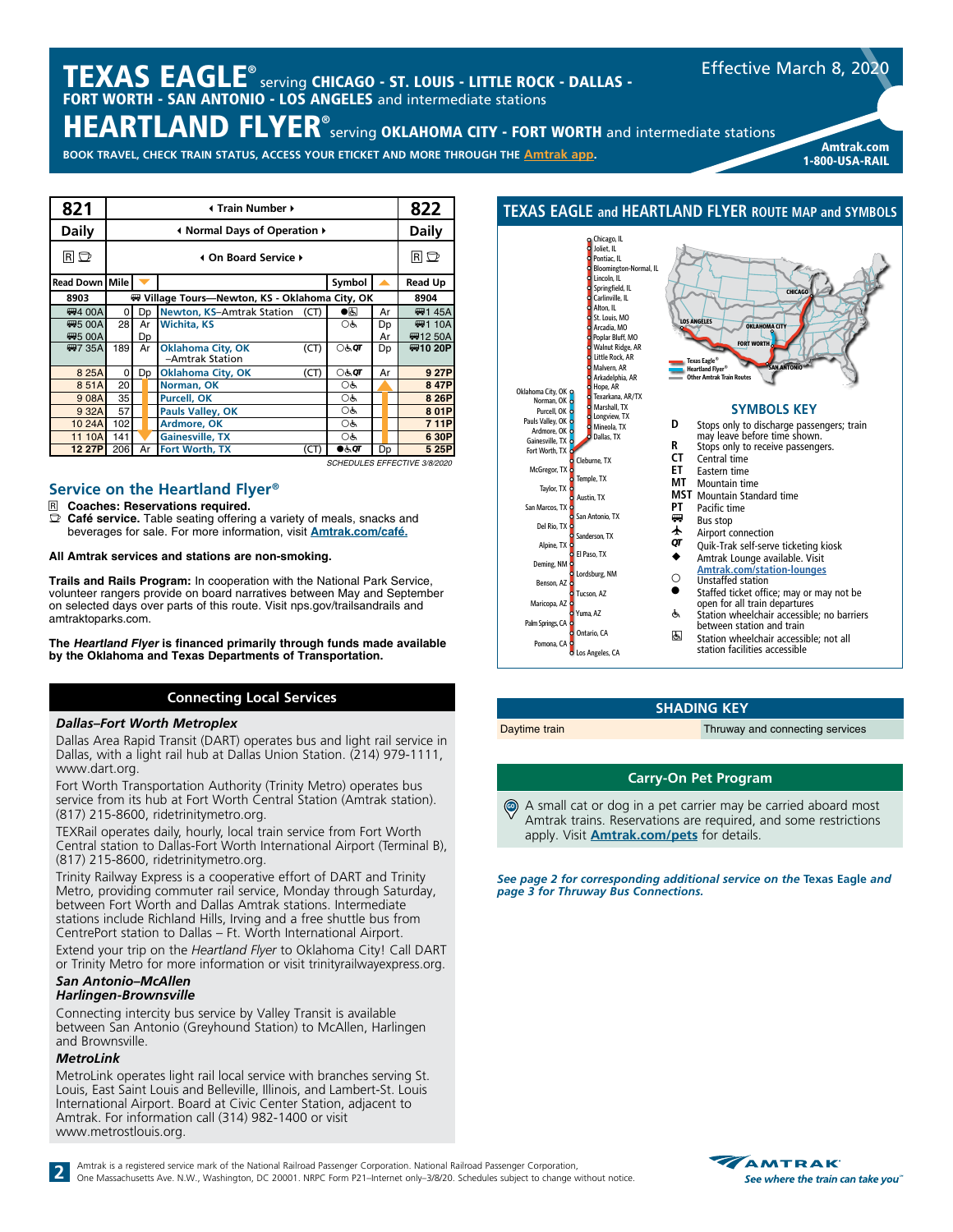# $\boldsymbol{\mathsf{TEXAS}}\ \textsf{EAGLE}^\circ$  serving CHICAGO - ST. LOUIS - LITTLE ROCK - DALLAS -FORT WORTH - SAN ANTONIO - LOS ANGELES and intermediate stations

HEARTLAND FLYER® serving OKLAHOMA CITY - FORT WORTH and intermediate stations

**BOOK TRAVEL, CHECK TRAIN STATUS, ACCESS YOUR ETICKET AND MORE THROUGH THE [Amtrak app](https://www.amtrak.com/mobile).**

| 821            |          | Internation Number +                |  |                                                |      |                       |    |  |                              |  |  |  |
|----------------|----------|-------------------------------------|--|------------------------------------------------|------|-----------------------|----|--|------------------------------|--|--|--|
| <b>Daily</b>   |          | Infinity Mormal Days of Operation ♦ |  |                                                |      |                       |    |  |                              |  |  |  |
| RD             |          | 4 On Board Service ▶                |  |                                                |      |                       |    |  |                              |  |  |  |
| Read Down Mile |          |                                     |  |                                                |      | Symbol                |    |  | <b>Read Up</b>               |  |  |  |
| 8903           |          |                                     |  | ₩ Village Tours-Newton, KS - Oklahoma City, OK |      |                       |    |  | 8904                         |  |  |  |
| <b>四4 00A</b>  | $\Omega$ | Dp                                  |  | <b>Newton, KS-Amtrak Station</b>               | (CT) | $\bullet$ g           | Ar |  | ₩H 45A                       |  |  |  |
| <b>四5 00A</b>  | 28       | Ar                                  |  | <b>Wichita, KS</b>                             |      | OĠ                    | Dp |  | <b>₩1 10A</b>                |  |  |  |
| <b>四5 00A</b>  |          | Dp                                  |  |                                                |      |                       | Ar |  | ₩1250A                       |  |  |  |
| <b>四7 35A</b>  | 189      | Ar                                  |  | <b>Oklahoma City, OK</b><br>-Amtrak Station    | (CT) | े $\sigma$            | Dp |  | ₩10 20P                      |  |  |  |
| 8 25A          | 0        | Dp                                  |  | Oklahoma City, OK                              | (CT) | $\circlearrowright$ ा | Ar |  | 9 27P                        |  |  |  |
| 851A           | 20       |                                     |  | Norman, OK                                     |      | ОĠ                    |    |  | 8 47P                        |  |  |  |
| 908A           | 35       |                                     |  | <b>Purcell, OK</b>                             |      | OĠ                    |    |  | 8 26P                        |  |  |  |
| 9 32A          | 57       |                                     |  | Pauls Valley, OK                               |      | OĠ                    |    |  | 8 01P                        |  |  |  |
| 10 24A         | 102      |                                     |  | Ardmore, OK                                    |      | OĠ                    |    |  | 7 11P                        |  |  |  |
| 11 10A         | 141      |                                     |  | <b>Gainesville, TX</b>                         |      | OĠ                    |    |  | 6 30P                        |  |  |  |
| 12 27P         | 206      | Ar                                  |  | Fort Worth, TX                                 | (CT) | 0.60                  | Dp |  | 5 25P                        |  |  |  |
|                |          |                                     |  |                                                |      |                       |    |  | SCHEDULES EFFECTIVE 3/8/2020 |  |  |  |

### **Service on the Heartland Flyer®**

- R **Coaches: Reservations required.**
- Café service. Table seating offering a variety of meals, snacks and beverages for sale. For more information, visit **[Amtrak.com/café](https://www.amtrak.com/onboard/meals-dining/cafe-car.html).**
- **All Amtrak services and stations are non-smoking.**

**Trails and Rails Program:** In cooperation with the National Park Service, volunteer rangers provide on board narratives between May and September on selected days over parts of this route. Visit nps.gov/trailsandrails and amtraktoparks.com.

**The Heartland Flyer is financed primarily through funds made available by the Oklahoma and Texas Departments of Transportation.**

### **Connecting Local Services**

### *Dallas–Fort Worth Metroplex*

Dallas Area Rapid Transit (DART) operates bus and light rail service in Dallas, with a light rail hub at Dallas Union Station. (214) 979-1111, www.dart.org.

Fort Worth Transportation Authority (Trinity Metro) operates bus service from its hub at Fort Worth Central Station (Amtrak station). (817) 215-8600, ridetrinitymetro.org.

TEXRail operates daily, hourly, local train service from Fort Worth Central station to Dallas-Fort Worth International Airport (Terminal B), (817) 215-8600, ridetrinitymetro.org.

Trinity Railway Express is a cooperative effort of DART and Trinity Metro, providing commuter rail service, Monday through Saturday, between Fort Worth and Dallas Amtrak stations. Intermediate stations include Richland Hills, Irving and a free shuttle bus from CentrePort station to Dallas – Ft. Worth International Airport.

Extend your trip on the *Heartland Flyer* to Oklahoma City! Call DART or Trinity Metro for more information or visit trinityrailwayexpress.org.

#### *San Antonio–McAllen Harlingen-Brownsville*

Connecting intercity bus service by Valley Transit is available between San Antonio (Greyhound Station) to McAllen, Harlingen and Brownsville.

### *MetroLink*

MetroLink operates light rail local service with branches serving St. Louis, East Saint Louis and Belleville, Illinois, and Lambert-St. Louis International Airport. Board at Civic Center Station, adjacent to Amtrak. For information call (314) 982-1400 or visit www.metrostlouis.org.



#### **SHADING KEY**

Daytime train Thruway and connecting services

Amtrak.com 1-800-USA-RAIL

Effective March 8, 2020

### **Carry-On Pet Program**

A small cat or dog in a pet carrier may be carried aboard most Amtrak trains. Reservations are required, and some restrictions apply. Visit **[Amtrak.com/pets](https://www.amtrak.com/pets)** for details. GO

*See page 2 for corresponding additional service on the Texas Eagle and page 3 for Thruway Bus Connections.*



2 Amtrak is a registered service mark of the National Railroad Passenger Corporation. National Railroad Passenger Corporation, One Massachusetts Ave. N.W., Washington, DC 20001. NRPC Form P21-Internet only-3/8/20. Schedule

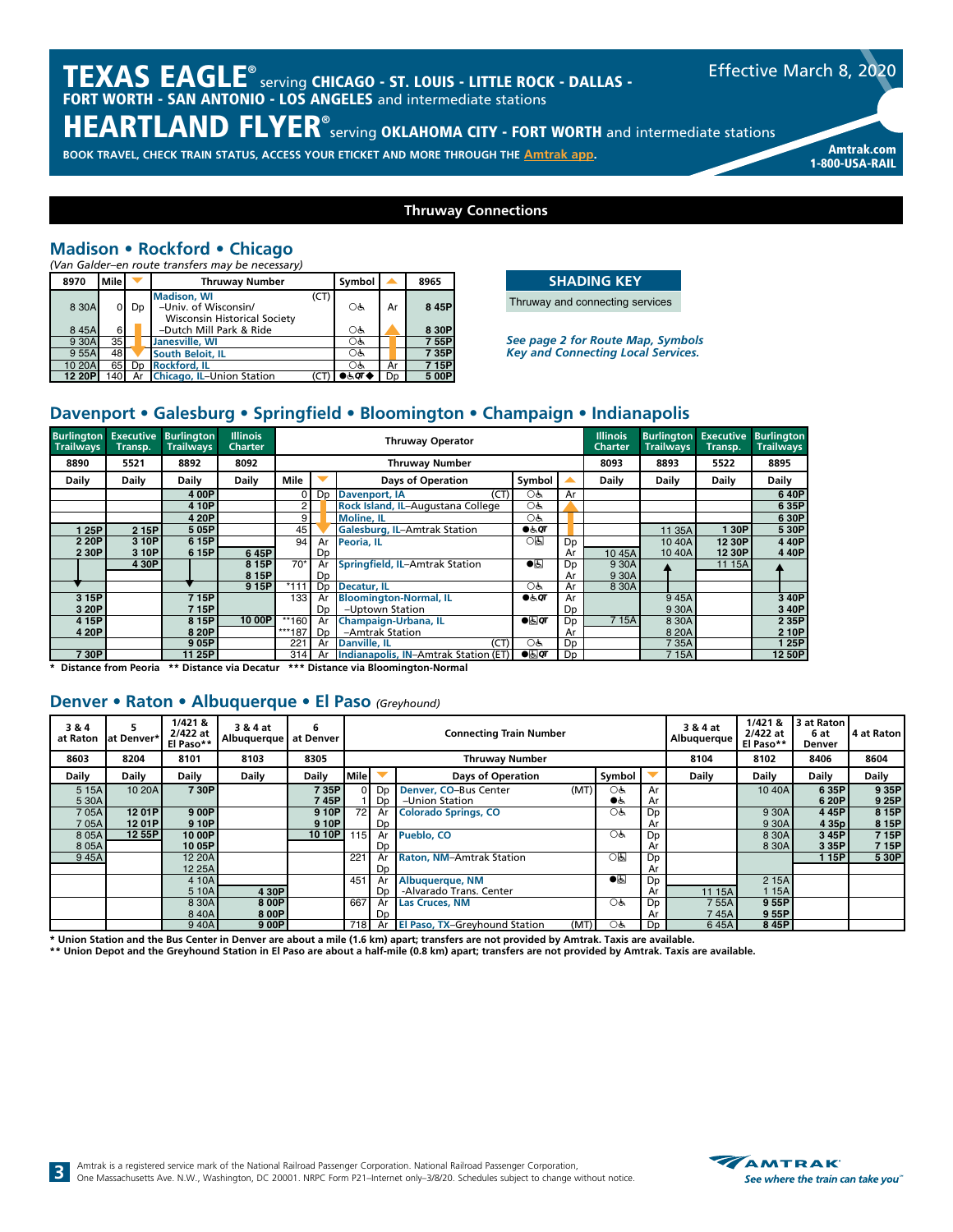# $\boldsymbol{\mathsf{TEXAS}}\ \textsf{EAGLE}^\circ$  serving CHICAGO - ST. LOUIS - LITTLE ROCK - DALLAS -FORT WORTH - SAN ANTONIO - LOS ANGELES and intermediate stations

HEARTLAND FLYER® serving OKLAHOMA CITY - FORT WORTH and intermediate stations

**BOOK TRAVEL, CHECK TRAIN STATUS, ACCESS YOUR ETICKET AND MORE THROUGH THE [Amtrak app](https://www.amtrak.com/mobile).**

**Thruway Connections**

# **Madison • Rockford • Chicago**

*(Van Galder–en route transfers may be necessary)*

| 8970   | <b>Mile</b> |    | <b>Thruway Number</b>                                                                     | Symbol           |                | 8965  |
|--------|-------------|----|-------------------------------------------------------------------------------------------|------------------|----------------|-------|
| 8 30A  |             | Dp | <b>Madison, WI</b><br>(CT)<br>-Univ. of Wisconsin/<br><b>Wisconsin Historical Society</b> | ОĠ               | Ar             | 8 45P |
| 845A   | 6           |    | -Dutch Mill Park & Ride                                                                   | OĠ               |                | 8 30P |
| 9 30A  | 35          |    | Janesville, WI                                                                            | OĠ               |                | 7 55P |
| 9 55A  | 48          |    | South Beloit, IL                                                                          | $\circ$ ර්       |                | 7 35P |
| 10 20A | 65          | Dp | <b>Rockford, IL</b>                                                                       | $O_{\mathbf{G}}$ | Ar             | 7 15P |
| 12 20P | 140         | Ar | Chicago, IL-Union Station                                                                 | ) हे.QT <        | D <sub>D</sub> | 5 00P |

### **SHADING KEY**

Thruway and connecting services

*See page 2 for Route Map, Symbols Key and Connecting Local Services.*

# **Davenport • Galesburg • Springfield • Bloomington • Champaign • Indianapolis**

| <b>Burlington Executive</b><br><b>Trailways</b> | Transp.,     | <b>Burlington</b><br><b>Trailways</b> | <b>Illinois</b><br><b>Charter</b> | <b>Thruway Operator</b> |                |                                       |                      |                | <b>Illinois</b><br><b>Charter</b> | <b>Burlinaton</b><br><b>Trailways</b> | <b>Executive</b><br>Transp. | <b>Burlington</b><br><b>Trailways</b> |
|-------------------------------------------------|--------------|---------------------------------------|-----------------------------------|-------------------------|----------------|---------------------------------------|----------------------|----------------|-----------------------------------|---------------------------------------|-----------------------------|---------------------------------------|
| 8890                                            | 5521         | 8892                                  | 8092                              |                         |                | <b>Thruway Number</b>                 |                      |                | 8093                              | 8893                                  | 5522                        | 8895                                  |
| Daily                                           | <b>Daily</b> | <b>Daily</b>                          | Daily                             | Mile                    |                | <b>Days of Operation</b>              | Symbol               |                | <b>Daily</b>                      | Daily                                 | <b>Daily</b>                | Daily                                 |
|                                                 |              | 4 00P                                 |                                   | 0                       | Dp             | (CT)<br>Davenport, IA                 | OĠ                   | Ar             |                                   |                                       |                             | 640P                                  |
|                                                 |              | 4 10P                                 |                                   | 2                       |                | Rock Island, IL-Augustana College     | OĠ                   |                |                                   |                                       |                             | 6 35P                                 |
|                                                 |              | 4 20P                                 |                                   | 9                       |                | <b>Moline, IL</b>                     | Oģ                   |                |                                   |                                       |                             | 6 30P                                 |
| 25P                                             | 2 15P        | 505P                                  |                                   | 45                      |                | <b>Galesburg, IL-Amtrak Station</b>   | $\bullet$ & $\sigma$ |                |                                   | 11 35A                                | 30P                         | 5 30P                                 |
| 2 20P                                           | 3 10P        | 6 15P                                 |                                   | 94                      | Ar             | Peoria, IL                            | ০ন্ড                 | Dp             |                                   | 10 40A                                | 12 30P                      | 4 4 0 P                               |
| 2 30P                                           | 3 10P        | 6 15P                                 | 645P                              |                         | <b>Dp</b>      |                                       |                      | Ar             | 1045A                             | 1040A                                 | 12 30P                      | 440P                                  |
|                                                 | 4 30P        |                                       | 8 15P                             | $70*$                   | Ar             | <b>Springfield, IL-Amtrak Station</b> | $\overline{\bullet}$ | Dp             | 9 30A                             |                                       | 11 15A                      |                                       |
|                                                 |              |                                       | 8 15P                             |                         | D <sub>D</sub> |                                       |                      | Ar             | 9 30A                             |                                       |                             |                                       |
|                                                 |              |                                       | 9 15P                             | $*111$                  | D <sub>D</sub> | Decatur, IL                           | OĠ                   | Ar             | 8 30A                             |                                       |                             |                                       |
| 3 15P                                           |              | 715P                                  |                                   | 133                     | Ar             | <b>Bloomington-Normal, IL</b>         | $\bullet$ க்ர        | Ar             |                                   | 945A                                  |                             | 3 40P                                 |
| 3 20P                                           |              | 715P                                  |                                   |                         | D <sub>D</sub> | -Uptown Station                       |                      | Dp             |                                   | 930A                                  |                             | 3 40P                                 |
| 4 15P                                           |              | 8 15P                                 | 10 00P                            | **160                   | Ar             | Champaign-Urbana, IL                  | $\bullet$            | D <sub>D</sub> | 715A                              | 8 30A                                 |                             | 2 3 5 P                               |
| 4 20P                                           |              | 8 20P                                 |                                   | ***187                  | D <sub>D</sub> | -Amtrak Station                       |                      | Ar             |                                   | 8 20A                                 |                             | 2 10P                                 |
|                                                 |              | 905P                                  |                                   | 221                     | Ar             | (CT)<br><b>Danville, IL</b>           | OĠ                   | Dp             |                                   | 735A                                  |                             | 125P                                  |
| 730P                                            |              | 11 25P                                |                                   | 314                     | Ar             | Indianapolis, IN-Amtrak Station (ET)  | $\bullet$            | Dp             |                                   | 715A                                  |                             | 12 50P                                |

**\* Distance from Peoria \*\* Distance via Decatur \*\*\* Distance via Bloomington-Normal**

## **Denver • Raton • Albuquerque • El Paso** *(Greyhound)*

| 3&4<br>at Raton | at Denver* | 1/421 &<br>2/422 at<br>El Paso** | 3 & 4 at<br>Albuquerque | 6<br>at Denver | <b>Connecting Train Number</b> |                |                                              |                  |                | 3 & 4 at<br>Albuquerque | 1/4218<br>2/422 at<br>El Paso** | 13 at Raton I<br>6 at<br><b>Denver</b> | 4 at Raton |
|-----------------|------------|----------------------------------|-------------------------|----------------|--------------------------------|----------------|----------------------------------------------|------------------|----------------|-------------------------|---------------------------------|----------------------------------------|------------|
| 8603            | 8204       | 8101                             | 8103                    | 8305           |                                |                | <b>Thruway Number</b>                        |                  |                | 8104                    | 8102                            | 8406                                   | 8604       |
| Daily           | Daily      | Dailv                            | Daily                   | Daily          | <b>Mile</b>                    |                | <b>Days of Operation</b>                     | Symbol           |                | Daily                   | Daily                           | Daily                                  | Daily      |
| 5 1 5 A         | 10 20A     | 730P                             |                         | 735P           | ∩                              | D <sub>D</sub> | Denver, CO-Bus Center<br>(MT)                | OĠ               | Ar             |                         | 10 40A                          | 6 35P                                  | 9 35P      |
| 5 30A           |            |                                  |                         | 7 45P          |                                | Dp             | -Union Station                               | ●ر               | Ar             |                         |                                 | 6 20P                                  | 9 25P      |
| 705A            | 1201P      | 9 0 OP                           |                         | 9 10P          | 72                             | Ar             | <b>Colorado Springs, CO</b>                  | Oģ               | D <sub>D</sub> |                         | 9 30A                           | 445P                                   | 8 15P      |
| 705A            | 1201P      | 9 10P                            |                         | 9 10P          |                                | Dp             |                                              |                  | Ar             |                         | 9 30A                           | 4 35p                                  | 8 15P      |
| 805A            | 12 55P     | 10 00P                           |                         | 10 10P         | 115 <sup>1</sup>               | Ar             | Pueblo, CO                                   | $O_{\mathbf{G}}$ | Dp             |                         | 8 30A                           | 3 45P                                  | 7 15P      |
| 8 0 5 A         |            | 10 05P                           |                         |                |                                | Dp             |                                              |                  | Ar             |                         | 8 30A                           | 3 35P                                  | 715P       |
| 945A            |            | 12 20A                           |                         |                | 221                            | Ar             | <b>Raton, NM-Amtrak Station</b>              | $\overline{OB}$  | Dp             |                         |                                 | 115P                                   | 5 30P      |
|                 |            | 12 25A                           |                         |                |                                | Dp             |                                              |                  | Ar             |                         |                                 |                                        |            |
|                 |            | 4 10A                            |                         |                | 451                            | Ar             | Albuquerque, NM                              | $\bullet$        | Dp             |                         | 2 15A                           |                                        |            |
|                 |            | 5 10A                            | 4 30P                   |                |                                | Dp             | -Alvarado Trans, Center                      |                  | Ar             | 11 15A                  | 115A                            |                                        |            |
|                 |            | 8 30A                            | 8 0 OP                  |                | 667                            | Ar             | <b>Las Cruces, NM</b>                        | O&               | Dp             | 755A                    | 955P                            |                                        |            |
|                 |            | 840A                             | 8 0 OP                  |                |                                | Dp             |                                              |                  | Ar             | 745A                    | 955P                            |                                        |            |
|                 |            | 940A                             | 9 00P                   |                |                                |                | 718 Ar El Paso, TX-Greyhound Station<br>(MT) | OĠ               | Dp             | 645A                    | 845P                            |                                        |            |

\* Union Station and the Bus Center in Denver are about a mile (1.6 km) apart; transfers are not provided by Amtrak. Taxis are available.<br>\*\* Union Depot and the Greyhound Station in El Paso are about a half-mile (0.8 km) ap



Amtrak.com 1-800-USA-RAIL

Effective March 8, 2020